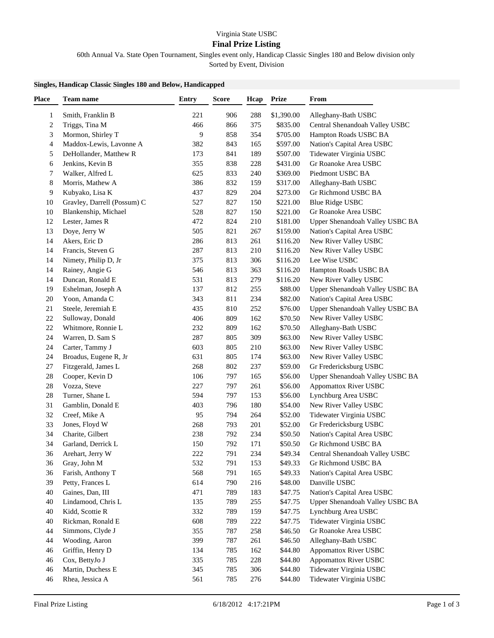## Virginia State USBC

## **Final Prize Listing**

60th Annual Va. State Open Tournament, Singles event only, Handicap Classic Singles 180 and Below division only

Sorted by Event, Division

## **Singles, Handicap Classic Singles 180 and Below, Handicapped**

| <b>Place</b> | <b>Team name</b>            | <b>Entry</b> | <b>Score</b> | Hcap | <b>Prize</b> | From                            |
|--------------|-----------------------------|--------------|--------------|------|--------------|---------------------------------|
| 1            | Smith, Franklin B           | 221          | 906          | 288  | \$1,390.00   | Alleghany-Bath USBC             |
| 2            | Triggs, Tina M              | 466          | 866          | 375  | \$835.00     | Central Shenandoah Valley USBC  |
| 3            | Mormon, Shirley T           | 9            | 858          | 354  | \$705.00     | Hampton Roads USBC BA           |
| 4            | Maddox-Lewis, Lavonne A     | 382          | 843          | 165  | \$597.00     | Nation's Capital Area USBC      |
| 5            | DeHollander, Matthew R      | 173          | 841          | 189  | \$507.00     | Tidewater Virginia USBC         |
| 6            | Jenkins, Kevin B            | 355          | 838          | 228  | \$431.00     | Gr Roanoke Area USBC            |
| 7            | Walker, Alfred L            | 625          | 833          | 240  | \$369.00     | Piedmont USBC BA                |
| 8            | Morris, Mathew A            | 386          | 832          | 159  | \$317.00     | Alleghany-Bath USBC             |
| 9            | Kubyako, Lisa K             | 437          | 829          | 204  | \$273.00     | Gr Richmond USBC BA             |
| 10           | Gravley, Darrell (Possum) C | 527          | 827          | 150  | \$221.00     | <b>Blue Ridge USBC</b>          |
| 10           | Blankenship, Michael        | 528          | 827          | 150  | \$221.00     | Gr Roanoke Area USBC            |
| 12           | Lester, James R             | 472          | 824          | 210  | \$181.00     | Upper Shenandoah Valley USBC BA |
| 13           | Doye, Jerry W               | 505          | 821          | 267  | \$159.00     | Nation's Capital Area USBC      |
| 14           | Akers, Eric D               | 286          | 813          | 261  | \$116.20     | New River Valley USBC           |
| 14           | Francis, Steven G           | 287          | 813          | 210  | \$116.20     | New River Valley USBC           |
| 14           | Nimety, Philip D, Jr        | 375          | 813          | 306  | \$116.20     | Lee Wise USBC                   |
| 14           | Rainey, Angie G             | 546          | 813          | 363  | \$116.20     | Hampton Roads USBC BA           |
| 14           | Duncan, Ronald E            | 531          | 813          | 279  | \$116.20     | New River Valley USBC           |
| 19           | Eshelman, Joseph A          | 137          | 812          | 255  | \$88.00      | Upper Shenandoah Valley USBC BA |
| 20           | Yoon, Amanda C              | 343          | 811          | 234  | \$82.00      | Nation's Capital Area USBC      |
| 21           | Steele, Jeremiah E          | 435          | 810          | 252  | \$76.00      | Upper Shenandoah Valley USBC BA |
| 22           | Sulloway, Donald            | 406          | 809          | 162  | \$70.50      | New River Valley USBC           |
| 22           | Whitmore, Ronnie L          | 232          | 809          | 162  | \$70.50      | Alleghany-Bath USBC             |
| 24           | Warren, D. Sam S            | 287          | 805          | 309  | \$63.00      | New River Valley USBC           |
| 24           | Carter, Tammy J             | 603          | 805          | 210  | \$63.00      | New River Valley USBC           |
| 24           | Broadus, Eugene R, Jr       | 631          | 805          | 174  | \$63.00      | New River Valley USBC           |
| 27           | Fitzgerald, James L         | 268          | 802          | 237  | \$59.00      | Gr Fredericksburg USBC          |
| 28           | Cooper, Kevin D             | 106          | 797          | 165  | \$56.00      | Upper Shenandoah Valley USBC BA |
| $28\,$       | Vozza, Steve                | 227          | 797          | 261  | \$56.00      | Appomattox River USBC           |
| 28           | Turner, Shane L             | 594          | 797          | 153  | \$56.00      | Lynchburg Area USBC             |
| 31           | Gamblin, Donald E           | 403          | 796          | 180  | \$54.00      | New River Valley USBC           |
| 32           | Creef, Mike A               | 95           | 794          | 264  | \$52.00      | Tidewater Virginia USBC         |
| 33           | Jones, Floyd W              | 268          | 793          | 201  | \$52.00      | Gr Fredericksburg USBC          |
| 34           | Charite, Gilbert            | 238          | 792          | 234  | \$50.50      | Nation's Capital Area USBC      |
| 34           | Garland, Derrick L          | 150          | 792          | 171  | \$50.50      | Gr Richmond USBC BA             |
| 36           | Arehart, Jerry W            | $222\,$      | 791          | 234  | \$49.34      | Central Shenandoah Valley USBC  |
| 36           | Gray, John M                | 532          | 791          | 153  | \$49.33      | Gr Richmond USBC BA             |
| 36           | Farish, Anthony T           | 568          | 791          | 165  | \$49.33      | Nation's Capital Area USBC      |
| 39           | Petty, Frances L            | 614          | 790          | 216  | \$48.00      | Danville USBC                   |
| 40           | Gaines, Dan, III            | 471          | 789          | 183  | \$47.75      | Nation's Capital Area USBC      |
| 40           | Lindamood, Chris L          | 135          | 789          | 255  | \$47.75      | Upper Shenandoah Valley USBC BA |
| 40           | Kidd, Scottie R             | 332          | 789          | 159  | \$47.75      | Lynchburg Area USBC             |
| 40           | Rickman, Ronald E           | 608          | 789          | 222  | \$47.75      | Tidewater Virginia USBC         |
| 44           | Simmons, Clyde J            | 355          | 787          | 258  | \$46.50      | Gr Roanoke Area USBC            |
| 44           | Wooding, Aaron              | 399          | 787          | 261  | \$46.50      | Alleghany-Bath USBC             |
| 46           | Griffin, Henry D            | 134          | 785          | 162  | \$44.80      | <b>Appomattox River USBC</b>    |
| 46           | Cox, BettyJo J              | 335          | 785          | 228  | \$44.80      | <b>Appomattox River USBC</b>    |
| 46           | Martin, Duchess E           | 345          | 785          | 306  | \$44.80      | Tidewater Virginia USBC         |
| 46           | Rhea, Jessica A             | 561          | 785          | 276  | \$44.80      | Tidewater Virginia USBC         |
|              |                             |              |              |      |              |                                 |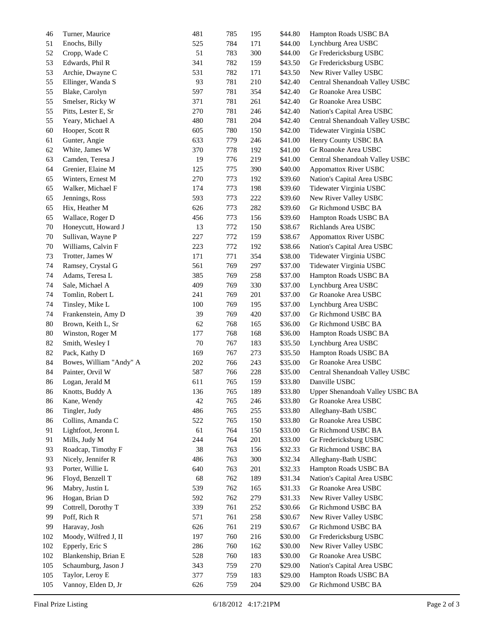| 46  | Turner, Maurice         | 481    | 785 | 195 | \$44.80 | Hampton Roads USBC BA           |
|-----|-------------------------|--------|-----|-----|---------|---------------------------------|
| 51  | Enochs, Billy           | 525    | 784 | 171 | \$44.00 | Lynchburg Area USBC             |
| 52  | Cropp, Wade C           | 51     | 783 | 300 | \$44.00 | Gr Fredericksburg USBC          |
| 53  | Edwards, Phil R         | 341    | 782 | 159 | \$43.50 | Gr Fredericksburg USBC          |
| 53  | Archie, Dwayne C        | 531    | 782 | 171 | \$43.50 | New River Valley USBC           |
| 55  | Ellinger, Wanda S       | 93     | 781 | 210 | \$42.40 | Central Shenandoah Valley USBC  |
| 55  | Blake, Carolyn          | 597    | 781 | 354 | \$42.40 | Gr Roanoke Area USBC            |
| 55  | Smelser, Ricky W        | 371    | 781 | 261 | \$42.40 | Gr Roanoke Area USBC            |
| 55  | Pitts, Lester E, Sr     | 270    | 781 | 246 | \$42.40 | Nation's Capital Area USBC      |
| 55  | Yeary, Michael A        | 480    | 781 | 204 | \$42.40 | Central Shenandoah Valley USBC  |
| 60  | Hooper, Scott R         | 605    | 780 | 150 | \$42.00 | Tidewater Virginia USBC         |
| 61  | Gunter, Angie           | 633    | 779 | 246 | \$41.00 | Henry County USBC BA            |
| 62  | White, James W          | 370    | 778 | 192 | \$41.00 | Gr Roanoke Area USBC            |
| 63  | Camden, Teresa J        | 19     | 776 | 219 | \$41.00 | Central Shenandoah Valley USBC  |
| 64  | Grenier, Elaine M       | 125    | 775 | 390 | \$40.00 | <b>Appomattox River USBC</b>    |
| 65  | Winters, Ernest M       | 270    | 773 | 192 | \$39.60 | Nation's Capital Area USBC      |
| 65  | Walker, Michael F       | 174    | 773 | 198 | \$39.60 | Tidewater Virginia USBC         |
| 65  | Jennings, Ross          | 593    | 773 | 222 | \$39.60 | New River Valley USBC           |
| 65  | Hix, Heather M          | 626    | 773 | 282 | \$39.60 | Gr Richmond USBC BA             |
| 65  | Wallace, Roger D        | 456    | 773 | 156 | \$39.60 | Hampton Roads USBC BA           |
| 70  | Honeycutt, Howard J     | 13     | 772 | 150 | \$38.67 | Richlands Area USBC             |
| 70  | Sullivan, Wayne P       | 227    | 772 | 159 | \$38.67 | <b>Appomattox River USBC</b>    |
| 70  | Williams, Calvin F      | 223    | 772 | 192 | \$38.66 | Nation's Capital Area USBC      |
| 73  | Trotter, James W        | 171    | 771 | 354 | \$38.00 | Tidewater Virginia USBC         |
| 74  | Ramsey, Crystal G       | 561    | 769 | 297 | \$37.00 | Tidewater Virginia USBC         |
| 74  | Adams, Teresa L         | 385    | 769 | 258 | \$37.00 | Hampton Roads USBC BA           |
| 74  | Sale, Michael A         | 409    | 769 | 330 | \$37.00 | Lynchburg Area USBC             |
| 74  | Tomlin, Robert L        | 241    | 769 | 201 | \$37.00 | Gr Roanoke Area USBC            |
| 74  | Tinsley, Mike L         | 100    | 769 | 195 | \$37.00 | Lynchburg Area USBC             |
| 74  | Frankenstein, Amy D     | 39     | 769 | 420 | \$37.00 | Gr Richmond USBC BA             |
| 80  | Brown, Keith L, Sr      | 62     | 768 | 165 | \$36.00 | Gr Richmond USBC BA             |
| 80  | Winston, Roger M        | 177    | 768 | 168 | \$36.00 | Hampton Roads USBC BA           |
| 82  | Smith, Wesley I         | 70     | 767 | 183 | \$35.50 | Lynchburg Area USBC             |
| 82  | Pack, Kathy D           | 169    | 767 | 273 | \$35.50 | Hampton Roads USBC BA           |
| 84  | Bowes, William "Andy" A | 202    | 766 | 243 | \$35.00 | Gr Roanoke Area USBC            |
| 84  | Painter, Orvil W        | 587    | 766 | 228 | \$35.00 | Central Shenandoah Valley USBC  |
| 86  | Logan, Jerald M         | 611    | 765 | 159 | \$33.80 | Danville USBC                   |
| 86  | Knotts, Buddy A         | 136    | 765 | 189 | \$33.80 | Upper Shenandoah Valley USBC BA |
| 86  | Kane, Wendy             | $42\,$ | 765 | 246 | \$33.80 | Gr Roanoke Area USBC            |
| 86  | Tingler, Judy           | 486    | 765 | 255 | \$33.80 | Alleghany-Bath USBC             |
| 86  | Collins, Amanda C       | 522    | 765 | 150 | \$33.80 | Gr Roanoke Area USBC            |
| 91  | Lightfoot, Jeronn L     | 61     | 764 | 150 | \$33.00 | Gr Richmond USBC BA             |
| 91  | Mills, Judy M           | 244    | 764 | 201 | \$33.00 | Gr Fredericksburg USBC          |
| 93  | Roadcap, Timothy F      | 38     | 763 | 156 | \$32.33 | Gr Richmond USBC BA             |
| 93  | Nicely, Jennifer R      | 486    | 763 | 300 | \$32.34 | Alleghany-Bath USBC             |
| 93  | Porter, Willie L        | 640    | 763 | 201 | \$32.33 | Hampton Roads USBC BA           |
| 96  | Floyd, Benzell T        | 68     | 762 | 189 | \$31.34 | Nation's Capital Area USBC      |
| 96  | Mabry, Justin L         | 539    | 762 | 165 | \$31.33 | Gr Roanoke Area USBC            |
| 96  | Hogan, Brian D          | 592    | 762 | 279 | \$31.33 | New River Valley USBC           |
| 99  | Cottrell, Dorothy T     | 339    | 761 | 252 | \$30.66 | Gr Richmond USBC BA             |
| 99  | Poff, Rich R            | 571    | 761 | 258 | \$30.67 | New River Valley USBC           |
| 99  | Haravay, Josh           | 626    | 761 | 219 | \$30.67 | Gr Richmond USBC BA             |
| 102 | Moody, Wilfred J, II    | 197    | 760 | 216 | \$30.00 | Gr Fredericksburg USBC          |
| 102 | Epperly, Eric S         | 286    | 760 | 162 | \$30.00 | New River Valley USBC           |
| 102 | Blankenship, Brian E    | 528    | 760 | 183 | \$30.00 | Gr Roanoke Area USBC            |
| 105 | Schaumburg, Jason J     | 343    | 759 | 270 | \$29.00 | Nation's Capital Area USBC      |
| 105 | Taylor, Leroy E         | 377    | 759 | 183 | \$29.00 | Hampton Roads USBC BA           |
| 105 | Vannoy, Elden D, Jr     | 626    | 759 | 204 | \$29.00 | Gr Richmond USBC BA             |
|     |                         |        |     |     |         |                                 |